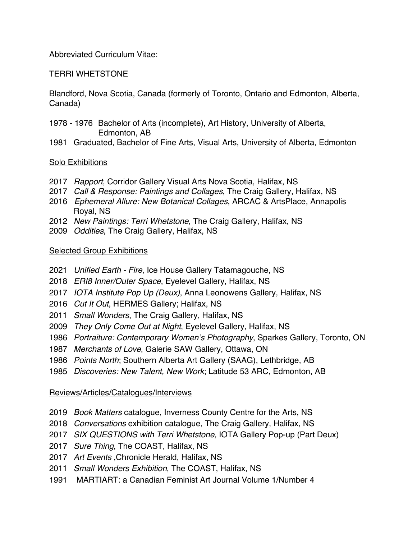Abbreviated Curriculum Vitae:

## TERRI WHETSTONE

Blandford, Nova Scotia, Canada (formerly of Toronto, Ontario and Edmonton, Alberta, Canada)

- 1976 Bachelor of Arts (incomplete), Art History, University of Alberta, Edmonton, AB
- Graduated, Bachelor of Fine Arts, Visual Arts, University of Alberta, Edmonton

#### Solo Exhibitions

- *Rapport*, Corridor Gallery Visual Arts Nova Scotia, Halifax, NS
- *Call & Response: Paintings and Collages*, The Craig Gallery, Halifax, NS
- *Ephemeral Allure: New Botanical Collages*, ARCAC & ArtsPlace, Annapolis Royal, NS
- *New Paintings: Terri Whetstone*, The Craig Gallery, Halifax, NS
- *Oddities*, The Craig Gallery, Halifax, NS

#### Selected Group Exhibitions

- *Unified Earth - Fire*, Ice House Gallery Tatamagouche, NS
- *ERI8 Inner/Outer Space*, Eyelevel Gallery, Halifax, NS
- *IOTA Institute Pop Up (Deux)*, Anna Leonowens Gallery, Halifax, NS
- *Cut It Out*, HERMES Gallery; Halifax, NS
- *Small Wonders*, The Craig Gallery, Halifax, NS
- *They Only Come Out at Night*, Eyelevel Gallery, Halifax, NS
- *Portraiture: Contemporary Women's Photography*, Sparkes Gallery, Toronto, ON
- *Merchants of Love*, Galerie SAW Gallery, Ottawa, ON
- *Points North*; Southern Alberta Art Gallery (SAAG), Lethbridge, AB
- *Discoveries: New Talent, New Work*; Latitude 53 ARC, Edmonton, AB

#### Reviews/Articles/Catalogues/Interviews

- *Book Matters* catalogue, Inverness County Centre for the Arts, NS
- *Conversations* exhibition catalogue, The Craig Gallery, Halifax, NS
- *SIX QUESTIONS with Terri Whetstone,* IOTA Gallery Pop-up (Part Deux)
- *Sure Thing*, The COAST, Halifax, NS
- *Art Events* ,Chronicle Herald, Halifax, NS
- *Small Wonders Exhibition*, The COAST, Halifax, NS
- 1991 MARTIART: a Canadian Feminist Art Journal Volume 1/Number 4